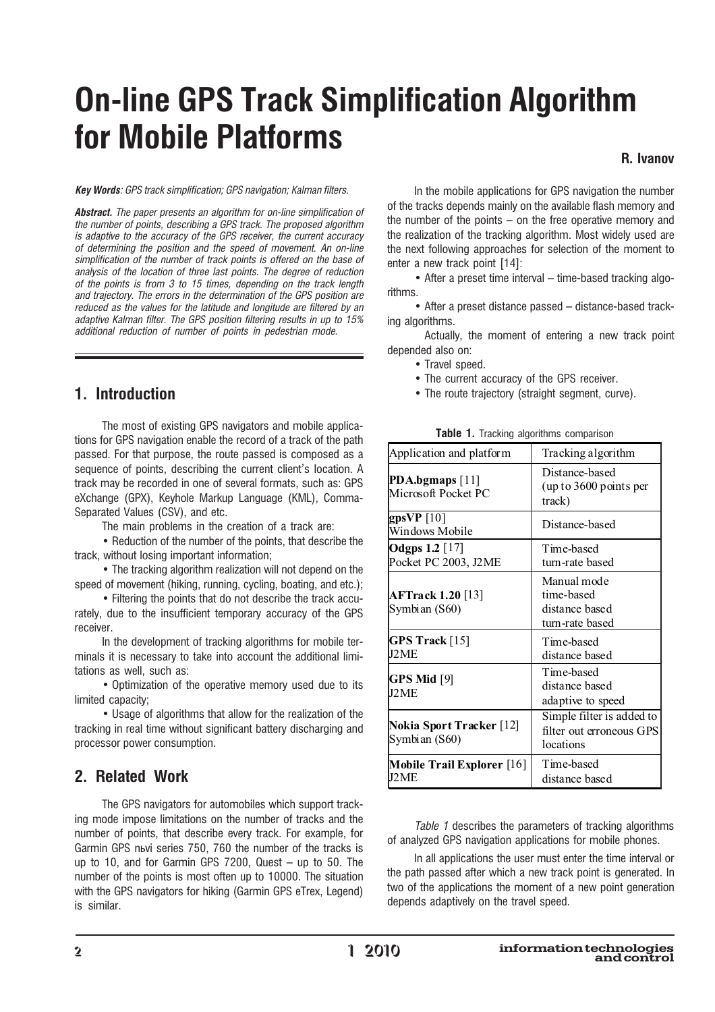# **On-line GPS Track Simplification Algorithm** for Mobile Platforms

R. Ivanov

**Key Words:** GPS track simplification: GPS navigation: Kalman filters.

**Abstract.** The paper presents an algorithm for on-line simplification of the number of points, describing a GPS track. The proposed algorithm is adaptive to the accuracy of the GPS receiver, the current accuracy of determining the position and the speed of movement. An on-line simplification of the number of track points is offered on the base of analysis of the location of three last points. The degree of reduction of the points is from 3 to 15 times, depending on the track length and trajectory. The errors in the determination of the GPS position are reduced as the values for the latitude and longitude are filtered by an adaptive Kalman filter. The GPS position filtering results in up to 15% additional reduction of number of points in pedestrian mode.

## 1. Introduction

The most of existing GPS navigators and mobile applications for GPS navigation enable the record of a track of the path passed. For that purpose, the route passed is composed as a sequence of points, describing the current client's location. A track may be recorded in one of several formats, such as: GPS eXchange (GPX), Keyhole Markup Language (KML), Comma-Separated Values (CSV), and etc.

The main problems in the creation of a track are:

• Reduction of the number of the points, that describe the track, without losing important information;

• The tracking algorithm realization will not depend on the speed of movement (hiking, running, cycling, boating, and etc.);

• Filtering the points that do not describe the track accurately, due to the insufficient temporary accuracy of the GPS receiver.

In the development of tracking algorithms for mobile terminals it is necessary to take into account the additional limitations as well, such as:

• Optimization of the operative memory used due to its limited capacity;

• Usage of algorithms that allow for the realization of the tracking in real time without significant battery discharging and processor power consumption.

## 2. Related Work

The GPS navigators for automobiles which support tracking mode impose limitations on the number of tracks and the number of points, that describe every track. For example, for Garmin GPS nьvi series 750, 760 the number of the tracks is up to 10, and for Garmin GPS  $7200$ , Quest  $-$  up to 50. The number of the points is most often up to 10000. The situation with the GPS navigators for hiking (Garmin GPS eTrex, Legend) is similar.

In the mobile applications for GPS navigation the number of the tracks depends mainly on the available flash memory and the number of the points  $-$  on the free operative memory and the realization of the tracking algorithm. Most widely used are the next following approaches for selection of the moment to enter a new track point [14]:

- After a preset time interval - time-based tracking algorithms.

• After a preset distance passed – distance-based tracking algorithms.

Actually, the moment of entering a new track point depended also on:

- Travel speed.
- The current accuracy of the GPS receiver.
- The route trajectory (straight segment, curve).

|  |  |  | Table 1. Tracking algorithms comparison |
|--|--|--|-----------------------------------------|
|--|--|--|-----------------------------------------|

| Application and platform                  | Tracking algorithm                                                 |
|-------------------------------------------|--------------------------------------------------------------------|
| PDA.bgmaps $[11]$<br>Microsoft Pocket PC  | Distance-based<br>up to 3600 points per<br>track)                  |
| gpsVP $[10]$<br>Windows Mobile            | Distance-based                                                     |
| Odgps 1.2 [17]<br>Pocket PC 2003, J2ME    | Time-based<br>turn-rate based                                      |
| <b>AFTrack 1.20 [13]</b><br>Symbian (S60) | Manual mode<br>time-based<br>distance based<br>turn-rate based     |
| GPS Track [15]<br>I2ME                    | Time-based<br>distance based                                       |
| GPS Mid [9]<br>J2ME                       | Time-based<br>distance based<br>adaptive to speed                  |
| Nokia Sport Tracker [12]<br>Symbian (S60) | Simple filter is added to<br>filter out erroneous GPS<br>locations |
| Mobile Trail Explorer [16]<br>IJ2 ME      | Time-based<br>distance based                                       |

Table 1 describes the parameters of tracking algorithms of analyzed GPS navigation applications for mobile phones.

In all applications the user must enter the time interval or the path passed after which a new track point is generated. In two of the applications the moment of a new point generation depends adaptively on the travel speed.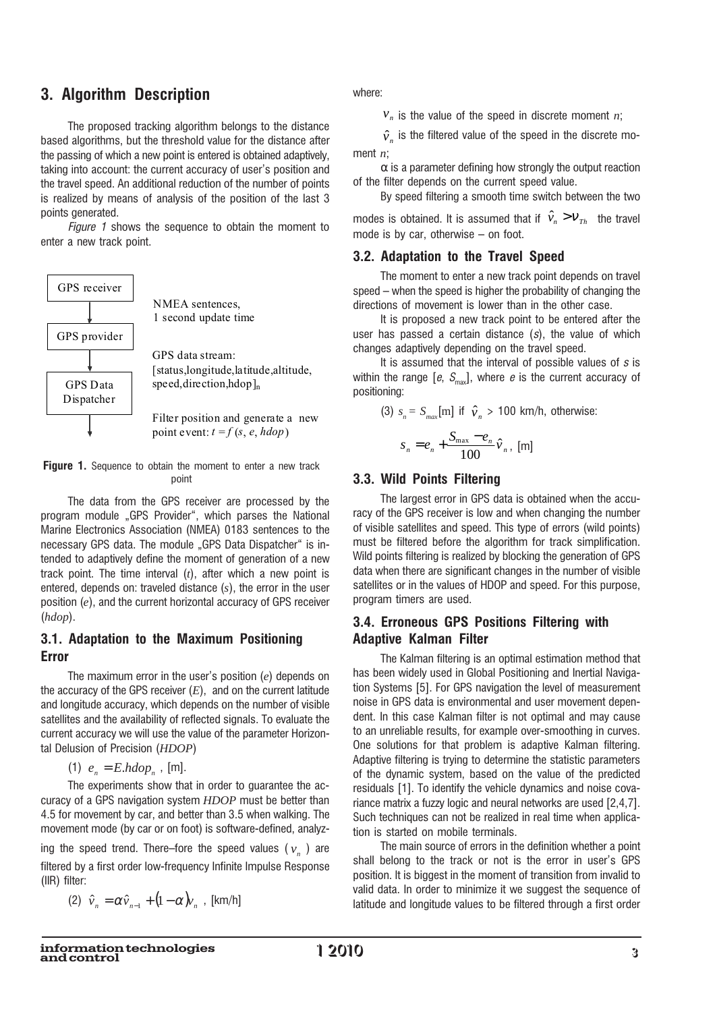## 3. Algorithm Description

The proposed tracking algorithm belongs to the distance based algorithms, but the threshold value for the distance after the passing of which a new point is entered is obtained adaptively. taking into account: the current accuracy of user's position and the travel speed. An additional reduction of the number of points is realized by means of analysis of the position of the last 3 points generated.

Figure 1 shows the sequence to obtain the moment to enter a new track point.



Figure 1. Sequence to obtain the moment to enter a new track point

The data from the GPS receiver are processed by the program module "GPS Provider", which parses the National Marine Electronics Association (NMEA) 0183 sentences to the necessary GPS data. The module "GPS Data Dispatcher" is intended to adaptively define the moment of generation of a new track point. The time interval  $(t)$ , after which a new point is entered, depends on: traveled distance  $(s)$ , the error in the user position  $(e)$ , and the current horizontal accuracy of GPS receiver  $(hdop).$ 

#### 3.1. Adaptation to the Maximum Positioning **Error**

The maximum error in the user's position  $(e)$  depends on the accuracy of the GPS receiver  $(E)$ , and on the current latitude and longitude accuracy, which depends on the number of visible satellites and the availability of reflected signals. To evaluate the current accuracy we will use the value of the parameter Horizontal Delusion of Precision (HDOP)

(1)  $e_n = E.h dop_n$ , [m].

The experiments show that in order to quarantee the accuracy of a GPS navigation system *HDOP* must be better than 4.5 for movement by car, and better than 3.5 when walking. The movement mode (by car or on foot) is software-defined, analyz-

ing the speed trend. There–fore the speed values ( $v_a$ ) are filtered by a first order low-frequency Infinite Impulse Response (IIR) filter:

(2) 
$$
\hat{v}_n = \alpha \hat{v}_{n-1} + (1 - \alpha) v_n
$$
, [km/h]

where<sup>®</sup>

 $v_n$  is the value of the speed in discrete moment *n*;

 $\hat{v}_n$  is the filtered value of the speed in the discrete moment  $n$ :

 $\alpha$  is a parameter defining how strongly the output reaction of the filter depends on the current speed value.

By speed filtering a smooth time switch between the two modes is obtained. It is assumed that if  $\hat{v}_n > v_{\tau h}$  the travel mode is by car, otherwise  $-$  on foot.

#### 3.2. Adaptation to the Travel Speed

The moment to enter a new track point depends on travel speed – when the speed is higher the probability of changing the directions of movement is lower than in the other case.

It is proposed a new track point to be entered after the user has passed a certain distance  $(s)$ , the value of which changes adaptively depending on the travel speed.

It is assumed that the interval of possible values of  $s$  is within the range [e,  $S_{\text{max}}$ ], where e is the current accuracy of positioning:

(3) 
$$
s_n = S_{max} [m]
$$
 if  $\hat{v}_n > 100$  km/h, otherwise:  

$$
s_n = e_n + \frac{S_{max} - e_n}{100} \hat{v}_n
$$
 [m]

#### 3.3. Wild Points Filtering

The largest error in GPS data is obtained when the accuracy of the GPS receiver is low and when changing the number of visible satellites and speed. This type of errors (wild points) must be filtered before the algorithm for track simplification. Wild points filtering is realized by blocking the generation of GPS data when there are significant changes in the number of visible satellites or in the values of HDOP and speed. For this purpose, program timers are used.

### 3.4. Erroneous GPS Positions Filtering with **Adaptive Kalman Filter**

The Kalman filtering is an optimal estimation method that has been widely used in Global Positioning and Inertial Navigation Systems [5]. For GPS navigation the level of measurement noise in GPS data is environmental and user movement dependent. In this case Kalman filter is not optimal and may cause to an unreliable results, for example over-smoothing in curves. One solutions for that problem is adaptive Kalman filtering. Adaptive filtering is trying to determine the statistic parameters of the dynamic system, based on the value of the predicted residuals [1]. To identify the vehicle dynamics and noise covariance matrix a fuzzy logic and neural networks are used [2,4,7]. Such techniques can not be realized in real time when application is started on mobile terminals.

The main source of errors in the definition whether a point shall belong to the track or not is the error in user's GPS position. It is biggest in the moment of transition from invalid to valid data. In order to minimize it we suggest the sequence of latitude and longitude values to be filtered through a first order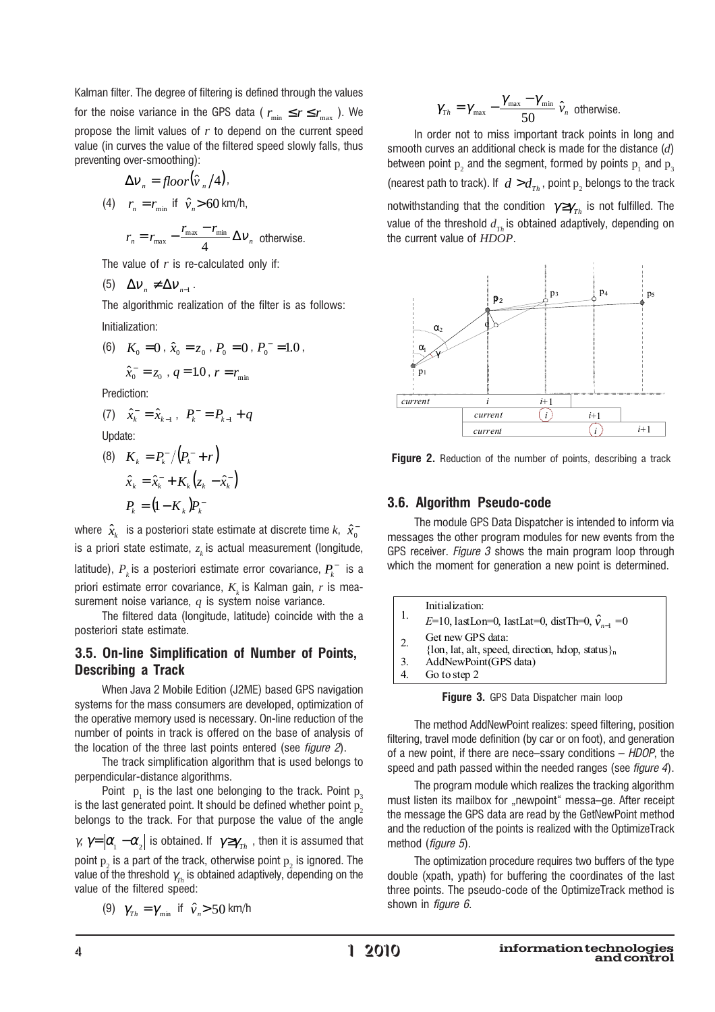Kalman filter. The degree of filtering is defined through the values

for the noise variance in the GPS data ( $r_{\text{min}} \le r \le r_{\text{max}}$ ). We propose the limit values of  $r$  to depend on the current speed value (in curves the value of the filtered speed slowly falls, thus preventing over-smoothing):

$$
\Delta v_n = floor(\hat{v}_n/4),
$$

(4) 
$$
r_n = r_{\min}
$$
 if  $\hat{v}_n > 60$  km/h,

$$
r_n = r_{\text{max}} - \frac{r_{\text{max}} - r_{\text{min}}}{4} \Delta v_n
$$
 otherwise.

The value of  $r$  is re-calculated only if:

$$
(5) \quad \Delta V_n \neq \Delta V_{n-1} \, .
$$

The algorithmic realization of the filter is as follows: Initialization:

(6)  $K_0 = 0$ ,  $\hat{x}_0 = z_0$ ,  $P_0 = 0$ ,  $P_0 = 1.0$ ,  $\hat{x}$  = =  $a = 10$   $x = r$ 

$$
x_0 = z_0, q = \text{1.0}, r = r_{\text{min}}
$$

Prediction:

(7) 
$$
\hat{x}_{k}^{-} = \hat{x}_{k-1}, P_{k}^{-} = P_{k-1} + q
$$

Update:

(8) 
$$
K_{k} = P_{k}^{-} / (P_{k}^{-} + r)
$$

$$
\hat{x}_{k} = \hat{x}_{k}^{-} + K_{k} (z_{k} - \hat{x}_{k}^{-})
$$

$$
P_{k} = (1 - K_{k}) P_{k}^{-}
$$

where  $\hat{x}_k$  is a posteriori state estimate at discrete time k,  $\hat{x}_0$ is a priori state estimate,  $z_k$  is actual measurement (longitude, latitude),  $P_k$  is a posteriori estimate error covariance,  $P_k^-$  is a priori estimate error covariance,  $K_{\mu}$  is Kalman gain, r is measurement noise variance,  $q$  is system noise variance.

The filtered data (longitude, latitude) coincide with the a posteriori state estimate.

#### 3.5. On-line Simplification of Number of Points, **Describing a Track**

When Java 2 Mobile Edition (J2ME) based GPS navigation systems for the mass consumers are developed, optimization of the operative memory used is necessary. On-line reduction of the number of points in track is offered on the base of analysis of the location of the three last points entered (see figure 2).

The track simplification algorithm that is used belongs to perpendicular-distance algorithms.

Point  $p_1$  is the last one belonging to the track. Point  $p_3$ is the last generated point. It should be defined whether point  $p_{\alpha}$ belongs to the track. For that purpose the value of the angle

 $\gamma$ ,  $\gamma = |\alpha_1 - \alpha_2|$  is obtained. If  $\gamma \geq \gamma_{Th}$ , then it is assumed that point  $p_2$  is a part of the track, otherwise point  $p_2$  is ignored. The value of the threshold  $\gamma_{\tau_h}$  is obtained adaptively, depending on the value of the filtered speed:

(9) 
$$
\gamma_{\text{Th}} = \gamma_{\text{min}}
$$
 if  $\hat{v}_n > 50$  km/h

$$
\gamma_{\scriptscriptstyle Th} = \gamma_{\scriptscriptstyle \rm max} - \frac{\gamma_{\scriptscriptstyle \rm max} - \gamma_{\scriptscriptstyle \rm min}}{50} \,\hat{\nu}_{\scriptscriptstyle n} \ \, \text{otherwise.}
$$

In order not to miss important track points in long and smooth curves an additional check is made for the distance  $(d)$ between point  $p_2$  and the segment, formed by points  $p_1$  and  $p_3$ (nearest path to track). If  $d > d_{Th}$ , point  $p_2$  belongs to the track notwithstanding that the condition  $\gamma \geq \gamma_{\gamma_h}$  is not fulfilled. The value of the threshold  $d_{\tau}$  is obtained adaptively, depending on the current value of HDOP.



**Figure 2.** Reduction of the number of points, describing a track

#### 3.6. Algorithm Pseudo-code

The module GPS Data Dispatcher is intended to inform via messages the other program modules for new events from the GPS receiver. Figure 3 shows the main program loop through which the moment for generation a new point is determined.

|  |                                                          | Initialization:                                                       |
|--|----------------------------------------------------------|-----------------------------------------------------------------------|
|  | E=10, lastLon=0, lastLat=0, distTh=0, $\hat{v}_{n-1}$ =0 |                                                                       |
|  | 2.5                                                      | Get new GPS data:<br>{lon, lat, alt, speed, direction, hdop, status}, |
|  | 3.                                                       | AddNewPoint(GPS data)                                                 |
|  |                                                          | Go to step 2                                                          |

Figure 3. GPS Data Dispatcher main loop

The method AddNewPoint realizes: speed filtering, position filtering, travel mode definition (by car or on foot), and generation of a new point, if there are nece-ssary conditions  $-$  HDOP, the speed and path passed within the needed ranges (see figure 4).

The program module which realizes the tracking algorithm must listen its mailbox for "newpoint" messa-ge. After receipt the message the GPS data are read by the GetNewPoint method and the reduction of the points is realized with the OptimizeTrack method (figure 5).

The optimization procedure requires two buffers of the type double (xpath, ypath) for buffering the coordinates of the last three points. The pseudo-code of the OptimizeTrack method is shown in *figure*  $6$ *.*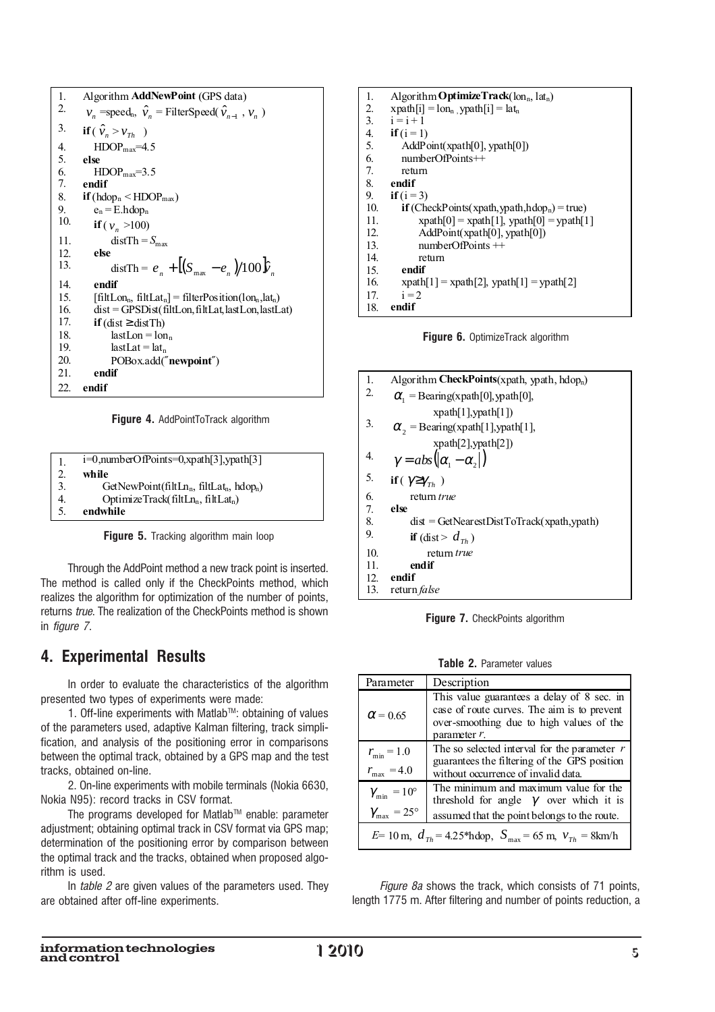| 1.  | Algorithm <b>AddNewPoint</b> (GPS data)                                                              |
|-----|------------------------------------------------------------------------------------------------------|
| 2.  | $v_n$ =speed <sub>n</sub> , $\hat{v}_n$ = FilterSpeed( $\hat{v}_{n-1}$ , $v_n$ )                     |
| 3.  | if $(\hat{v}_n > v_{Th})$                                                                            |
| 4.  | $HDOPmax=4.5$                                                                                        |
| 5.  | else                                                                                                 |
| 6.  | $HDOPmax=3.5$                                                                                        |
| 7.  | endif                                                                                                |
| 8.  | $if (h dop_n < HDOP_{max})$                                                                          |
| 9.  | $e_n = E.h \text{dop}_n$                                                                             |
| 10. | if $(v_n > 100)$                                                                                     |
| 11. | $distTh = S_{max}$                                                                                   |
| 12. | else                                                                                                 |
| 13. | dist Th = $e_{\perp} + [(S_{\text{max}} - e_{\perp})/100]\hat{v}_{\perp}$                            |
| 14. | endif                                                                                                |
| 15. | [filtLon <sub>n</sub> , filtLat <sub>n</sub> ] = filterPosition(lon <sub>n</sub> ,lat <sub>n</sub> ) |
| 16. | $dist = GPSDist(filtLon, filtLat, lastLon, lastLat)$                                                 |
| 17. | if $(dist \geq distTh)$                                                                              |
| 18. | $lastLon = lonn$                                                                                     |
| 19. | $lastLat = latn$                                                                                     |
| 20. | POBox.add("newpoint")                                                                                |
| 21. | endif                                                                                                |
| 22. | endif                                                                                                |

Figure 4. AddPointToTrack algorithm

| 1.  | $i=0$ , numberOfPoints=0, xpath [3], ypath [3] |
|-----|------------------------------------------------|
| 2.  | while                                          |
| 3.  | $GetNewPoint(filtLn_n, fillLat_n, hlop_n)$     |
| 4.  | OptimizeTrack( $filtLn_n, filtLat_n$ )         |
| .5. | endwhile                                       |

Figure 5. Tracking algorithm main loop

Through the AddPoint method a new track point is inserted. The method is called only if the CheckPoints method, which realizes the algorithm for optimization of the number of points, returns true. The realization of the CheckPoints method is shown in *figure* 7.

## **4. Experimental Results**

In order to evaluate the characteristics of the algorithm presented two types of experiments were made:

1. Off-line experiments with Matlab™: obtaining of values of the parameters used, adaptive Kalman filtering, track simplification, and analysis of the positioning error in comparisons between the optimal track, obtained by a GPS map and the test tracks, obtained on-line.

2. On-line experiments with mobile terminals (Nokia 6630, Nokia N95): record tracks in CSV format.

The programs developed for Matlab™ enable: parameter adjustment; obtaining optimal track in CSV format via GPS map; determination of the positioning error by comparison between the optimal track and the tracks, obtained when proposed algorithm is used.

In table 2 are given values of the parameters used. They are obtained after off-line experiments.

| 1.  | Algorithm <b>Optimize Track</b> $(\text{lon}_n, \text{lat}_n)$   |
|-----|------------------------------------------------------------------|
| 2.  | $x$ path $[i] = \text{lon}_{n}$ , ypath $[i] = \text{lat}_{n}$   |
| 3.  | $i = i + 1$                                                      |
| 4.  | if $(i = 1)$                                                     |
| 5.  | AddPoint(xpath[0], ypath[0])                                     |
| 6.  | $numberOfPoints++$                                               |
| 7.  | return                                                           |
| 8.  | endif                                                            |
| 9.  | if $(i=3)$                                                       |
| 10. | <b>if</b> (CheckPoints(xpath, ypath, hdop <sub>n</sub> ) = true) |
| 11. | $xpath[0] = xpath[1], ypath[0] = ypath[1]$                       |
| 12. | AddPoint(xpath[0], ypath[0])                                     |
| 13. | $numberOfPoints$ $++$                                            |
| 14. | return                                                           |
| 15. | endif                                                            |
| 16. | $xpath[1] = xpath[2], ypath[1] = ypath[2]$                       |
| 17. | $i = 2$                                                          |
| 18. | endif                                                            |

Figure 6. OptimizeTrack algorithm



Figure 7. CheckPoints algorithm

Table 2. Parameter values

| Parameter                                  | Description                                                                                                                                              |
|--------------------------------------------|----------------------------------------------------------------------------------------------------------------------------------------------------------|
| $\alpha$ = 0.65                            | This value guarantees a delay of 8 sec. in<br>case of route curves. The aim is to prevent<br>over-smoothing due to high values of the<br>parameter $r$ . |
| $r_{\min} = 1.0$<br>$r_{\text{max}} = 4.0$ | The so selected interval for the parameter $r$<br>guarantees the filtering of the GPS position<br>without occurrence of invalid data.                    |
| $\gamma_{\min} = 10^{\circ}$               | The minimum and maximum value for the<br>threshold for angle $\gamma$ over which it is                                                                   |
| $\gamma_{\rm max} = 25^{\circ}$            | assumed that the point belongs to the route.                                                                                                             |
|                                            | $E=10 \text{ m}$ , $d_{Th} = 4.25 \text{*hdop}$ , $S_{max} = 65 \text{ m}$ , $v_{Th} = 8 \text{km/h}$                                                    |

Figure 8a shows the track, which consists of 71 points, length 1775 m. After filtering and number of points reduction, a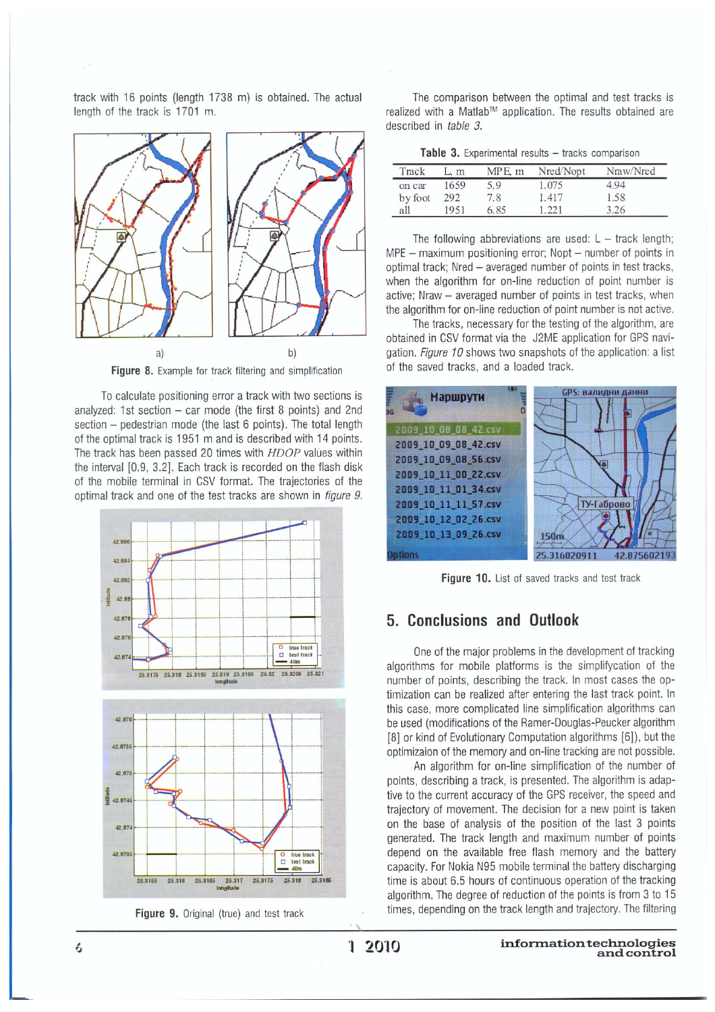track with 16 points (length 1738 m) is obtained. The actual length of the track is 1701 m.



Figure 8. Example for track filtering and simplification

To calculate positioning error a track with two sections is analyzed: 1st section  $-$  car mode (the first 8 points) and 2nd section - pedestrian mode (the last 6 points). The total length of the optimal track is 1951 m and is described with 14 points. The track has been passed 20 times with HDOP values within the interval [0.9, 3.2]. Each track is recorded on the flash disk of the mobile terminal in CSV format. The trajectories of the optimal track and one of the test tracks are shown in figure 9.



Figure 9. Original (true) and test track

The comparison between the optimal and test tracks is realized with a Matlab™ application. The results obtained are described in table 3.

|  | Table 3. Experimental results - tracks comparisor |  |  |  |
|--|---------------------------------------------------|--|--|--|
|--|---------------------------------------------------|--|--|--|

| Track   | L, m | $MPE$ m | Nred/Nopt | Nraw/Nred |
|---------|------|---------|-----------|-----------|
| on car  | 1659 | 5.9     | 1.075     | 4.94      |
| by foot | 292  | 7.8     | 1.417     | 1.58      |
| all     | 1951 | 6.85    | 1.22.1    | 3.26      |

The following abbreviations are used:  $L -$  track length; MPE - maximum positioning error; Nopt - number of points in optimal track; Nred - averaged number of points in test tracks, when the algorithm for on-line reduction of point number is active; Nraw - averaged number of points in test tracks, when the algorithm for on-line reduction of point number is not active.

The tracks, necessary for the testing of the algorithm, are obtained in CSV format via the J2ME application for GPS navigation. Figure 10 shows two snapshots of the application: a list of the saved tracks, and a loaded track.



Figure 10. List of saved tracks and test track

#### 5. Conclusions and Outlook

One of the major problems in the development of tracking algorithms for mobile platforms is the simplifycation of the number of points, describing the track. In most cases the optimization can be realized after entering the last track point. In this case, more complicated line simplification algorithms can be used (modifications of the Ramer-Douglas-Peucker algorithm [8] or kind of Evolutionary Computation algorithms [6]), but the optimizaion of the memory and on-line tracking are not possible.

An algorithm for on-line simplification of the number of points, describing a track, is presented. The algorithm is adaptive to the current accuracy of the GPS receiver, the speed and trajectory of movement. The decision for a new point is taken on the base of analysis of the position of the last 3 points generated. The track length and maximum number of points depend on the available free flash memory and the battery capacity. For Nokia N95 mobile terminal the battery discharging time is about 6.5 hours of continuous operation of the tracking algorithm. The degree of reduction of the points is from 3 to 15 times, depending on the track length and trajectory. The filtering